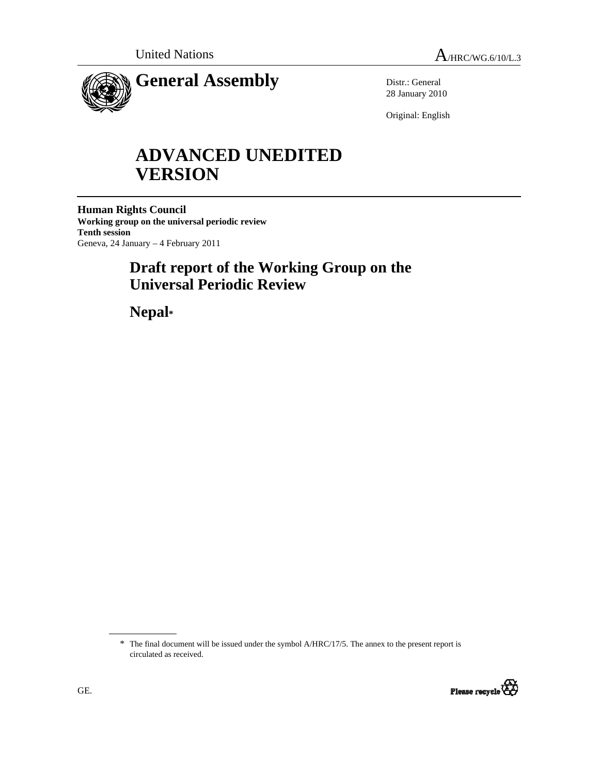

Distr.: General 28 January 2010

Original: English

# **ADVANCED UNEDITED VERSION**

**Human Rights Council Working group on the universal periodic review Tenth session**  Geneva, 24 January – 4 February 2011

## **Draft report of the Working Group on the Universal Periodic Review**

 **Nepal\*** 

<sup>\*</sup> The final document will be issued under the symbol A/HRC/17/5. The annex to the present report is circulated as received.

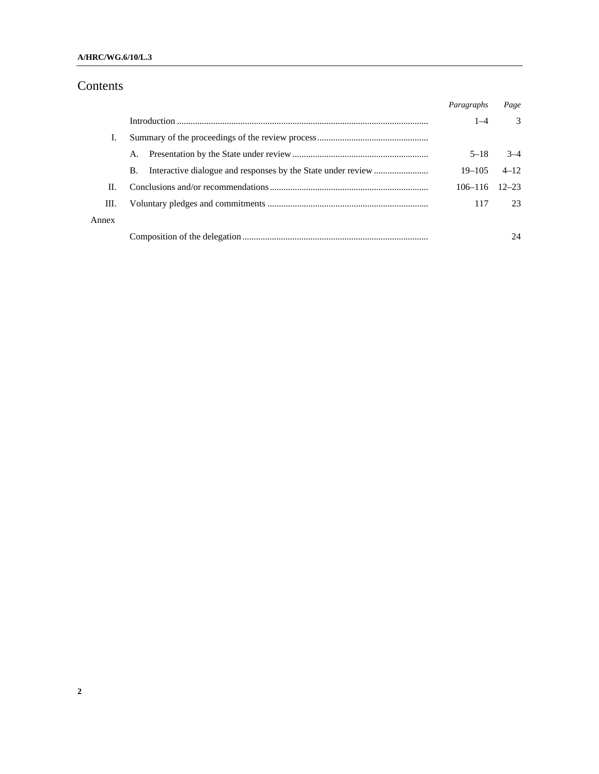#### **A/HRC/WG.6/10/L.3**

## Contents

|       |    | Paragraphs            | Page          |
|-------|----|-----------------------|---------------|
|       |    | $1 - 4$               | $\mathcal{E}$ |
|       |    |                       |               |
|       |    | $5 - 18$              | $3-4$         |
|       | В. | $19 - 105$            | $4 - 12$      |
| П.    |    | $106 - 116$ $12 - 23$ |               |
| III.  |    | 117                   | 23            |
| Annex |    |                       |               |
|       |    |                       | 24            |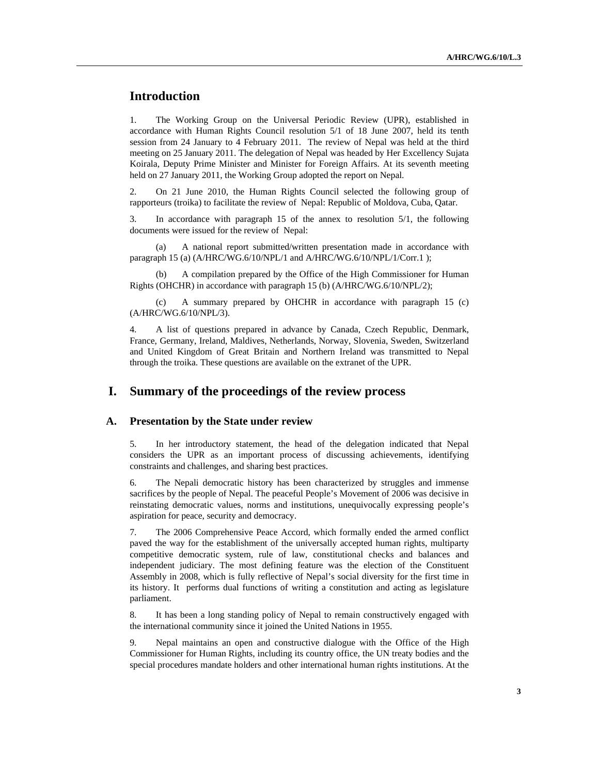## **Introduction**

1. The Working Group on the Universal Periodic Review (UPR), established in accordance with Human Rights Council resolution 5/1 of 18 June 2007, held its tenth session from 24 January to 4 February 2011. The review of Nepal was held at the third meeting on 25 January 2011. The delegation of Nepal was headed by Her Excellency Sujata Koirala, Deputy Prime Minister and Minister for Foreign Affairs. At its seventh meeting held on 27 January 2011, the Working Group adopted the report on Nepal.

2. On 21 June 2010, the Human Rights Council selected the following group of rapporteurs (troika) to facilitate the review of Nepal: Republic of Moldova, Cuba, Qatar.

3. In accordance with paragraph 15 of the annex to resolution 5/1, the following documents were issued for the review of Nepal:

 (a) A national report submitted/written presentation made in accordance with paragraph 15 (a) (A/HRC/WG.6/10/NPL/1 and A/HRC/WG.6/10/NPL/1/Corr.1);

 (b) A compilation prepared by the Office of the High Commissioner for Human Rights (OHCHR) in accordance with paragraph 15 (b) (A/HRC/WG.6/10/NPL/2);

 (c) A summary prepared by OHCHR in accordance with paragraph 15 (c) (A/HRC/WG.6/10/NPL/3).

4. A list of questions prepared in advance by Canada, Czech Republic, Denmark, France, Germany, Ireland, Maldives, Netherlands, Norway, Slovenia, Sweden, Switzerland and United Kingdom of Great Britain and Northern Ireland was transmitted to Nepal through the troika. These questions are available on the extranet of the UPR.

## **I. Summary of the proceedings of the review process**

#### **A. Presentation by the State under review**

5. In her introductory statement, the head of the delegation indicated that Nepal considers the UPR as an important process of discussing achievements, identifying constraints and challenges, and sharing best practices.

6. The Nepali democratic history has been characterized by struggles and immense sacrifices by the people of Nepal. The peaceful People's Movement of 2006 was decisive in reinstating democratic values, norms and institutions, unequivocally expressing people's aspiration for peace, security and democracy.

7. The 2006 Comprehensive Peace Accord, which formally ended the armed conflict paved the way for the establishment of the universally accepted human rights, multiparty competitive democratic system, rule of law, constitutional checks and balances and independent judiciary. The most defining feature was the election of the Constituent Assembly in 2008, which is fully reflective of Nepal's social diversity for the first time in its history. It performs dual functions of writing a constitution and acting as legislature parliament.

8. It has been a long standing policy of Nepal to remain constructively engaged with the international community since it joined the United Nations in 1955.

9. Nepal maintains an open and constructive dialogue with the Office of the High Commissioner for Human Rights, including its country office, the UN treaty bodies and the special procedures mandate holders and other international human rights institutions. At the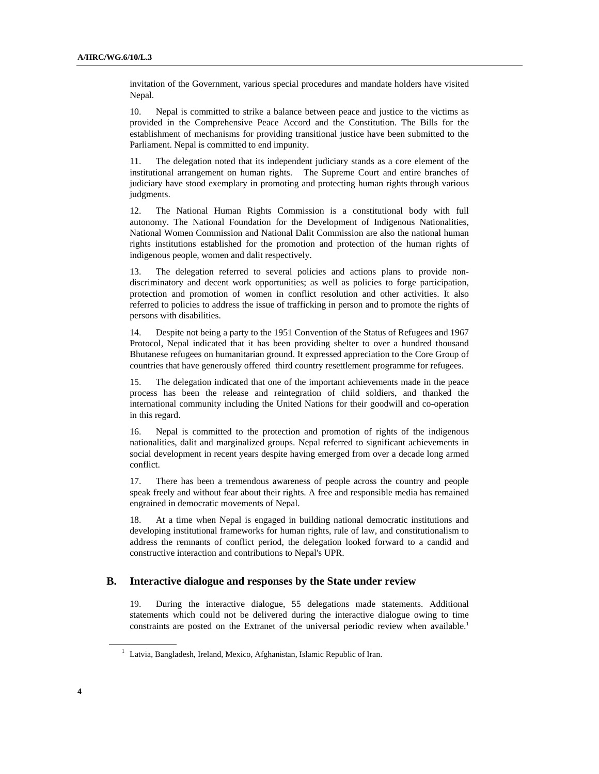invitation of the Government, various special procedures and mandate holders have visited Nepal.

10. Nepal is committed to strike a balance between peace and justice to the victims as provided in the Comprehensive Peace Accord and the Constitution. The Bills for the establishment of mechanisms for providing transitional justice have been submitted to the Parliament. Nepal is committed to end impunity.

11. The delegation noted that its independent judiciary stands as a core element of the institutional arrangement on human rights. The Supreme Court and entire branches of judiciary have stood exemplary in promoting and protecting human rights through various judgments.

12. The National Human Rights Commission is a constitutional body with full autonomy. The National Foundation for the Development of Indigenous Nationalities, National Women Commission and National Dalit Commission are also the national human rights institutions established for the promotion and protection of the human rights of indigenous people, women and dalit respectively.

13. The delegation referred to several policies and actions plans to provide nondiscriminatory and decent work opportunities; as well as policies to forge participation, protection and promotion of women in conflict resolution and other activities. It also referred to policies to address the issue of trafficking in person and to promote the rights of persons with disabilities.

14. Despite not being a party to the 1951 Convention of the Status of Refugees and 1967 Protocol, Nepal indicated that it has been providing shelter to over a hundred thousand Bhutanese refugees on humanitarian ground. It expressed appreciation to the Core Group of countries that have generously offered third country resettlement programme for refugees.

15. The delegation indicated that one of the important achievements made in the peace process has been the release and reintegration of child soldiers, and thanked the international community including the United Nations for their goodwill and co-operation in this regard.

16. Nepal is committed to the protection and promotion of rights of the indigenous nationalities, dalit and marginalized groups. Nepal referred to significant achievements in social development in recent years despite having emerged from over a decade long armed conflict.

17. There has been a tremendous awareness of people across the country and people speak freely and without fear about their rights. A free and responsible media has remained engrained in democratic movements of Nepal.

18. At a time when Nepal is engaged in building national democratic institutions and developing institutional frameworks for human rights, rule of law, and constitutionalism to address the remnants of conflict period, the delegation looked forward to a candid and constructive interaction and contributions to Nepal's UPR.

#### **B. Interactive dialogue and responses by the State under review**

19. During the interactive dialogue, 55 delegations made statements. Additional statements which could not be delivered during the interactive dialogue owing to time constraints are posted on the Extranet of the universal periodic review when available.<sup>1</sup>

<sup>&</sup>lt;sup>1</sup> Latvia, Bangladesh, Ireland, Mexico, Afghanistan, Islamic Republic of Iran.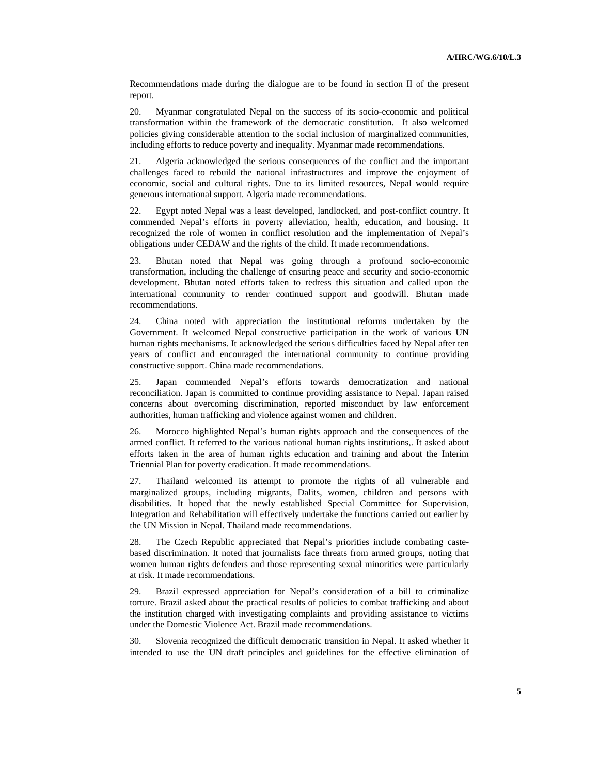Recommendations made during the dialogue are to be found in section II of the present report.

20. Myanmar congratulated Nepal on the success of its socio-economic and political transformation within the framework of the democratic constitution. It also welcomed policies giving considerable attention to the social inclusion of marginalized communities, including efforts to reduce poverty and inequality. Myanmar made recommendations.

21. Algeria acknowledged the serious consequences of the conflict and the important challenges faced to rebuild the national infrastructures and improve the enjoyment of economic, social and cultural rights. Due to its limited resources, Nepal would require generous international support. Algeria made recommendations.

22. Egypt noted Nepal was a least developed, landlocked, and post-conflict country. It commended Nepal's efforts in poverty alleviation, health, education, and housing. It recognized the role of women in conflict resolution and the implementation of Nepal's obligations under CEDAW and the rights of the child. It made recommendations.

23. Bhutan noted that Nepal was going through a profound socio-economic transformation, including the challenge of ensuring peace and security and socio-economic development. Bhutan noted efforts taken to redress this situation and called upon the international community to render continued support and goodwill. Bhutan made recommendations.

24. China noted with appreciation the institutional reforms undertaken by the Government. It welcomed Nepal constructive participation in the work of various UN human rights mechanisms. It acknowledged the serious difficulties faced by Nepal after ten years of conflict and encouraged the international community to continue providing constructive support. China made recommendations.

25. Japan commended Nepal's efforts towards democratization and national reconciliation. Japan is committed to continue providing assistance to Nepal. Japan raised concerns about overcoming discrimination, reported misconduct by law enforcement authorities, human trafficking and violence against women and children.

26. Morocco highlighted Nepal's human rights approach and the consequences of the armed conflict. It referred to the various national human rights institutions,. It asked about efforts taken in the area of human rights education and training and about the Interim Triennial Plan for poverty eradication. It made recommendations.

27. Thailand welcomed its attempt to promote the rights of all vulnerable and marginalized groups, including migrants, Dalits, women, children and persons with disabilities. It hoped that the newly established Special Committee for Supervision, Integration and Rehabilitation will effectively undertake the functions carried out earlier by the UN Mission in Nepal. Thailand made recommendations.

28. The Czech Republic appreciated that Nepal's priorities include combating castebased discrimination. It noted that journalists face threats from armed groups, noting that women human rights defenders and those representing sexual minorities were particularly at risk. It made recommendations.

29. Brazil expressed appreciation for Nepal's consideration of a bill to criminalize torture. Brazil asked about the practical results of policies to combat trafficking and about the institution charged with investigating complaints and providing assistance to victims under the Domestic Violence Act. Brazil made recommendations.

30. Slovenia recognized the difficult democratic transition in Nepal. It asked whether it intended to use the UN draft principles and guidelines for the effective elimination of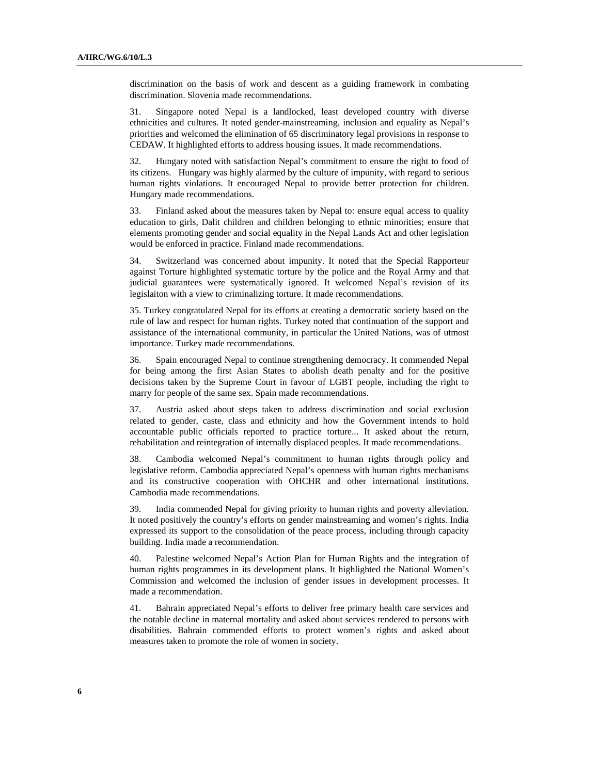discrimination on the basis of work and descent as a guiding framework in combating discrimination. Slovenia made recommendations.

31. Singapore noted Nepal is a landlocked, least developed country with diverse ethnicities and cultures. It noted gender-mainstreaming, inclusion and equality as Nepal's priorities and welcomed the elimination of 65 discriminatory legal provisions in response to CEDAW. It highlighted efforts to address housing issues. It made recommendations.

32. Hungary noted with satisfaction Nepal's commitment to ensure the right to food of its citizens. Hungary was highly alarmed by the culture of impunity, with regard to serious human rights violations. It encouraged Nepal to provide better protection for children. Hungary made recommendations.

33. Finland asked about the measures taken by Nepal to: ensure equal access to quality education to girls, Dalit children and children belonging to ethnic minorities; ensure that elements promoting gender and social equality in the Nepal Lands Act and other legislation would be enforced in practice. Finland made recommendations.

34. Switzerland was concerned about impunity. It noted that the Special Rapporteur against Torture highlighted systematic torture by the police and the Royal Army and that judicial guarantees were systematically ignored. It welcomed Nepal's revision of its legislaiton with a view to criminalizing torture. It made recommendations.

35. Turkey congratulated Nepal for its efforts at creating a democratic society based on the rule of law and respect for human rights. Turkey noted that continuation of the support and assistance of the international community, in particular the United Nations, was of utmost importance. Turkey made recommendations.

36. Spain encouraged Nepal to continue strengthening democracy. It commended Nepal for being among the first Asian States to abolish death penalty and for the positive decisions taken by the Supreme Court in favour of LGBT people, including the right to marry for people of the same sex. Spain made recommendations.

37. Austria asked about steps taken to address discrimination and social exclusion related to gender, caste, class and ethnicity and how the Government intends to hold accountable public officials reported to practice torture... It asked about the return, rehabilitation and reintegration of internally displaced peoples. It made recommendations.

38. Cambodia welcomed Nepal's commitment to human rights through policy and legislative reform. Cambodia appreciated Nepal's openness with human rights mechanisms and its constructive cooperation with OHCHR and other international institutions. Cambodia made recommendations.

39. India commended Nepal for giving priority to human rights and poverty alleviation. It noted positively the country's efforts on gender mainstreaming and women's rights. India expressed its support to the consolidation of the peace process, including through capacity building. India made a recommendation.

40. Palestine welcomed Nepal's Action Plan for Human Rights and the integration of human rights programmes in its development plans. It highlighted the National Women's Commission and welcomed the inclusion of gender issues in development processes. It made a recommendation.

41. Bahrain appreciated Nepal's efforts to deliver free primary health care services and the notable decline in maternal mortality and asked about services rendered to persons with disabilities. Bahrain commended efforts to protect women's rights and asked about measures taken to promote the role of women in society.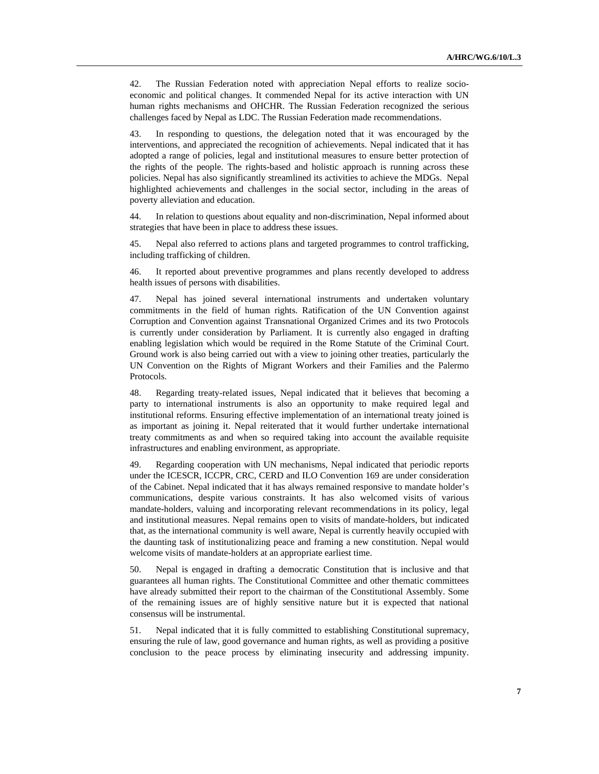42. The Russian Federation noted with appreciation Nepal efforts to realize socioeconomic and political changes. It commended Nepal for its active interaction with UN human rights mechanisms and OHCHR. The Russian Federation recognized the serious challenges faced by Nepal as LDC. The Russian Federation made recommendations.

43. In responding to questions, the delegation noted that it was encouraged by the interventions, and appreciated the recognition of achievements. Nepal indicated that it has adopted a range of policies, legal and institutional measures to ensure better protection of the rights of the people. The rights-based and holistic approach is running across these policies. Nepal has also significantly streamlined its activities to achieve the MDGs. Nepal highlighted achievements and challenges in the social sector, including in the areas of poverty alleviation and education.

44. In relation to questions about equality and non-discrimination, Nepal informed about strategies that have been in place to address these issues.

45. Nepal also referred to actions plans and targeted programmes to control trafficking, including trafficking of children.

46. It reported about preventive programmes and plans recently developed to address health issues of persons with disabilities.

47. Nepal has joined several international instruments and undertaken voluntary commitments in the field of human rights. Ratification of the UN Convention against Corruption and Convention against Transnational Organized Crimes and its two Protocols is currently under consideration by Parliament. It is currently also engaged in drafting enabling legislation which would be required in the Rome Statute of the Criminal Court. Ground work is also being carried out with a view to joining other treaties, particularly the UN Convention on the Rights of Migrant Workers and their Families and the Palermo Protocols.

48. Regarding treaty-related issues, Nepal indicated that it believes that becoming a party to international instruments is also an opportunity to make required legal and institutional reforms. Ensuring effective implementation of an international treaty joined is as important as joining it. Nepal reiterated that it would further undertake international treaty commitments as and when so required taking into account the available requisite infrastructures and enabling environment, as appropriate.

49. Regarding cooperation with UN mechanisms, Nepal indicated that periodic reports under the ICESCR, ICCPR, CRC, CERD and ILO Convention 169 are under consideration of the Cabinet. Nepal indicated that it has always remained responsive to mandate holder's communications, despite various constraints. It has also welcomed visits of various mandate-holders, valuing and incorporating relevant recommendations in its policy, legal and institutional measures. Nepal remains open to visits of mandate-holders, but indicated that, as the international community is well aware, Nepal is currently heavily occupied with the daunting task of institutionalizing peace and framing a new constitution. Nepal would welcome visits of mandate-holders at an appropriate earliest time.

50. Nepal is engaged in drafting a democratic Constitution that is inclusive and that guarantees all human rights. The Constitutional Committee and other thematic committees have already submitted their report to the chairman of the Constitutional Assembly. Some of the remaining issues are of highly sensitive nature but it is expected that national consensus will be instrumental.

51. Nepal indicated that it is fully committed to establishing Constitutional supremacy, ensuring the rule of law, good governance and human rights, as well as providing a positive conclusion to the peace process by eliminating insecurity and addressing impunity.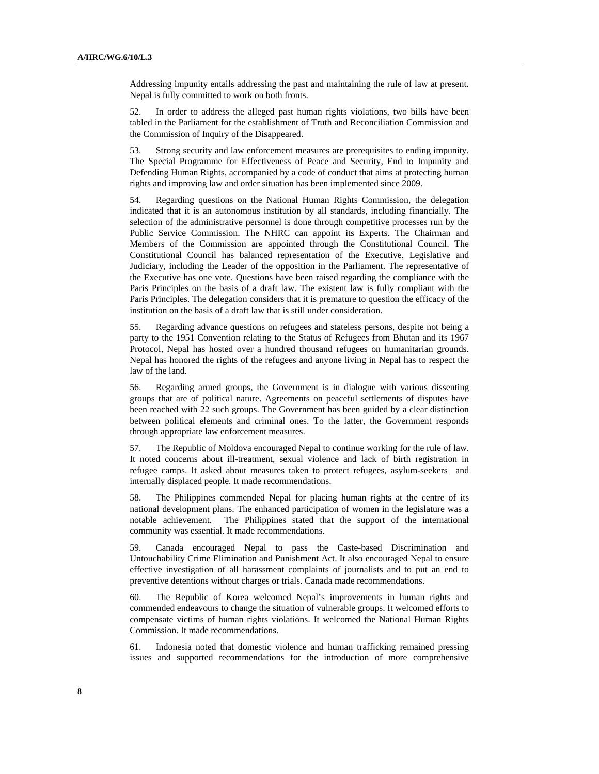Addressing impunity entails addressing the past and maintaining the rule of law at present. Nepal is fully committed to work on both fronts.

52. In order to address the alleged past human rights violations, two bills have been tabled in the Parliament for the establishment of Truth and Reconciliation Commission and the Commission of Inquiry of the Disappeared.

53. Strong security and law enforcement measures are prerequisites to ending impunity. The Special Programme for Effectiveness of Peace and Security, End to Impunity and Defending Human Rights, accompanied by a code of conduct that aims at protecting human rights and improving law and order situation has been implemented since 2009.

54. Regarding questions on the National Human Rights Commission, the delegation indicated that it is an autonomous institution by all standards, including financially. The selection of the administrative personnel is done through competitive processes run by the Public Service Commission. The NHRC can appoint its Experts. The Chairman and Members of the Commission are appointed through the Constitutional Council. The Constitutional Council has balanced representation of the Executive, Legislative and Judiciary, including the Leader of the opposition in the Parliament. The representative of the Executive has one vote. Questions have been raised regarding the compliance with the Paris Principles on the basis of a draft law. The existent law is fully compliant with the Paris Principles. The delegation considers that it is premature to question the efficacy of the institution on the basis of a draft law that is still under consideration.

55. Regarding advance questions on refugees and stateless persons, despite not being a party to the 1951 Convention relating to the Status of Refugees from Bhutan and its 1967 Protocol, Nepal has hosted over a hundred thousand refugees on humanitarian grounds. Nepal has honored the rights of the refugees and anyone living in Nepal has to respect the law of the land.

56. Regarding armed groups, the Government is in dialogue with various dissenting groups that are of political nature. Agreements on peaceful settlements of disputes have been reached with 22 such groups. The Government has been guided by a clear distinction between political elements and criminal ones. To the latter, the Government responds through appropriate law enforcement measures.

57. The Republic of Moldova encouraged Nepal to continue working for the rule of law. It noted concerns about ill-treatment, sexual violence and lack of birth registration in refugee camps. It asked about measures taken to protect refugees, asylum-seekers and internally displaced people. It made recommendations.

58. The Philippines commended Nepal for placing human rights at the centre of its national development plans. The enhanced participation of women in the legislature was a notable achievement. The Philippines stated that the support of the international community was essential. It made recommendations.

59. Canada encouraged Nepal to pass the Caste-based Discrimination and Untouchability Crime Elimination and Punishment Act. It also encouraged Nepal to ensure effective investigation of all harassment complaints of journalists and to put an end to preventive detentions without charges or trials. Canada made recommendations.

60. The Republic of Korea welcomed Nepal's improvements in human rights and commended endeavours to change the situation of vulnerable groups. It welcomed efforts to compensate victims of human rights violations. It welcomed the National Human Rights Commission. It made recommendations.

61. Indonesia noted that domestic violence and human trafficking remained pressing issues and supported recommendations for the introduction of more comprehensive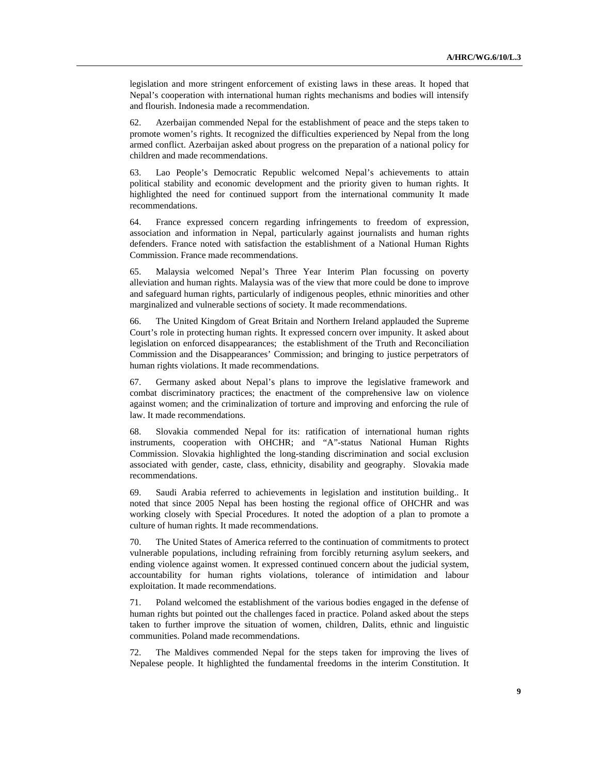legislation and more stringent enforcement of existing laws in these areas. It hoped that Nepal's cooperation with international human rights mechanisms and bodies will intensify and flourish. Indonesia made a recommendation.

62. Azerbaijan commended Nepal for the establishment of peace and the steps taken to promote women's rights. It recognized the difficulties experienced by Nepal from the long armed conflict. Azerbaijan asked about progress on the preparation of a national policy for children and made recommendations.

63. Lao People's Democratic Republic welcomed Nepal's achievements to attain political stability and economic development and the priority given to human rights. It highlighted the need for continued support from the international community It made recommendations.

64. France expressed concern regarding infringements to freedom of expression, association and information in Nepal, particularly against journalists and human rights defenders. France noted with satisfaction the establishment of a National Human Rights Commission. France made recommendations.

65. Malaysia welcomed Nepal's Three Year Interim Plan focussing on poverty alleviation and human rights. Malaysia was of the view that more could be done to improve and safeguard human rights, particularly of indigenous peoples, ethnic minorities and other marginalized and vulnerable sections of society. It made recommendations.

66. The United Kingdom of Great Britain and Northern Ireland applauded the Supreme Court's role in protecting human rights. It expressed concern over impunity. It asked about legislation on enforced disappearances; the establishment of the Truth and Reconciliation Commission and the Disappearances' Commission; and bringing to justice perpetrators of human rights violations. It made recommendations.

67. Germany asked about Nepal's plans to improve the legislative framework and combat discriminatory practices; the enactment of the comprehensive law on violence against women; and the criminalization of torture and improving and enforcing the rule of law. It made recommendations.

68. Slovakia commended Nepal for its: ratification of international human rights instruments, cooperation with OHCHR; and "A"-status National Human Rights Commission. Slovakia highlighted the long-standing discrimination and social exclusion associated with gender, caste, class, ethnicity, disability and geography. Slovakia made recommendations.

69. Saudi Arabia referred to achievements in legislation and institution building.. It noted that since 2005 Nepal has been hosting the regional office of OHCHR and was working closely with Special Procedures. It noted the adoption of a plan to promote a culture of human rights. It made recommendations.

70. The United States of America referred to the continuation of commitments to protect vulnerable populations, including refraining from forcibly returning asylum seekers, and ending violence against women. It expressed continued concern about the judicial system, accountability for human rights violations, tolerance of intimidation and labour exploitation. It made recommendations.

71. Poland welcomed the establishment of the various bodies engaged in the defense of human rights but pointed out the challenges faced in practice. Poland asked about the steps taken to further improve the situation of women, children, Dalits, ethnic and linguistic communities. Poland made recommendations.

72. The Maldives commended Nepal for the steps taken for improving the lives of Nepalese people. It highlighted the fundamental freedoms in the interim Constitution. It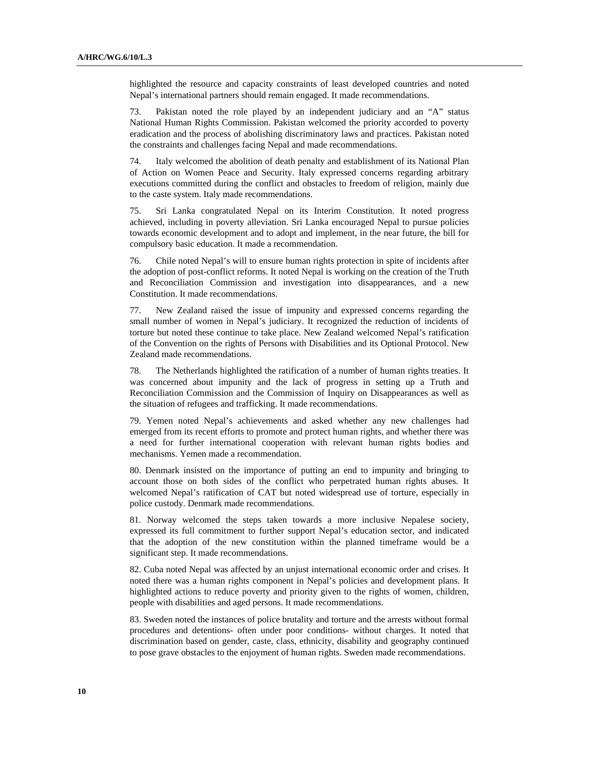highlighted the resource and capacity constraints of least developed countries and noted Nepal's international partners should remain engaged. It made recommendations.

73. Pakistan noted the role played by an independent judiciary and an "A" status National Human Rights Commission. Pakistan welcomed the priority accorded to poverty eradication and the process of abolishing discriminatory laws and practices. Pakistan noted the constraints and challenges facing Nepal and made recommendations.

74. Italy welcomed the abolition of death penalty and establishment of its National Plan of Action on Women Peace and Security. Italy expressed concerns regarding arbitrary executions committed during the conflict and obstacles to freedom of religion, mainly due to the caste system. Italy made recommendations.

75. Sri Lanka congratulated Nepal on its Interim Constitution. It noted progress achieved, including in poverty alleviation. Sri Lanka encouraged Nepal to pursue policies towards economic development and to adopt and implement, in the near future, the bill for compulsory basic education. It made a recommendation.

76. Chile noted Nepal's will to ensure human rights protection in spite of incidents after the adoption of post-conflict reforms. It noted Nepal is working on the creation of the Truth and Reconciliation Commission and investigation into disappearances, and a new Constitution. It made recommendations.

77. New Zealand raised the issue of impunity and expressed concerns regarding the small number of women in Nepal's judiciary. It recognized the reduction of incidents of torture but noted these continue to take place. New Zealand welcomed Nepal's ratification of the Convention on the rights of Persons with Disabilities and its Optional Protocol. New Zealand made recommendations.

78. The Netherlands highlighted the ratification of a number of human rights treaties. It was concerned about impunity and the lack of progress in setting up a Truth and Reconciliation Commission and the Commission of Inquiry on Disappearances as well as the situation of refugees and trafficking. It made recommendations.

79. Yemen noted Nepal's achievements and asked whether any new challenges had emerged from its recent efforts to promote and protect human rights, and whether there was a need for further international cooperation with relevant human rights bodies and mechanisms. Yemen made a recommendation.

80. Denmark insisted on the importance of putting an end to impunity and bringing to account those on both sides of the conflict who perpetrated human rights abuses. It welcomed Nepal's ratification of CAT but noted widespread use of torture, especially in police custody. Denmark made recommendations.

81. Norway welcomed the steps taken towards a more inclusive Nepalese society, expressed its full commitment to further support Nepal's education sector, and indicated that the adoption of the new constitution within the planned timeframe would be a significant step. It made recommendations.

82. Cuba noted Nepal was affected by an unjust international economic order and crises. It noted there was a human rights component in Nepal's policies and development plans. It highlighted actions to reduce poverty and priority given to the rights of women, children, people with disabilities and aged persons. It made recommendations.

83. Sweden noted the instances of police brutality and torture and the arrests without formal procedures and detentions- often under poor conditions- without charges. It noted that discrimination based on gender, caste, class, ethnicity, disability and geography continued to pose grave obstacles to the enjoyment of human rights. Sweden made recommendations.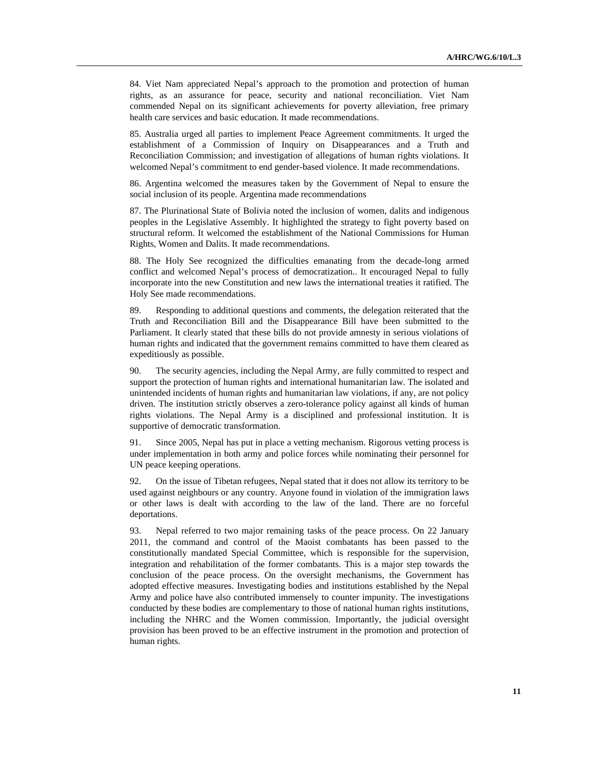84. Viet Nam appreciated Nepal's approach to the promotion and protection of human rights, as an assurance for peace, security and national reconciliation. Viet Nam commended Nepal on its significant achievements for poverty alleviation, free primary health care services and basic education. It made recommendations.

85. Australia urged all parties to implement Peace Agreement commitments. It urged the establishment of a Commission of Inquiry on Disappearances and a Truth and Reconciliation Commission; and investigation of allegations of human rights violations. It welcomed Nepal's commitment to end gender-based violence. It made recommendations.

86. Argentina welcomed the measures taken by the Government of Nepal to ensure the social inclusion of its people. Argentina made recommendations

87. The Plurinational State of Bolivia noted the inclusion of women, dalits and indigenous peoples in the Legislative Assembly. It highlighted the strategy to fight poverty based on structural reform. It welcomed the establishment of the National Commissions for Human Rights, Women and Dalits. It made recommendations.

88. The Holy See recognized the difficulties emanating from the decade-long armed conflict and welcomed Nepal's process of democratization.. It encouraged Nepal to fully incorporate into the new Constitution and new laws the international treaties it ratified. The Holy See made recommendations.

89. Responding to additional questions and comments, the delegation reiterated that the Truth and Reconciliation Bill and the Disappearance Bill have been submitted to the Parliament. It clearly stated that these bills do not provide amnesty in serious violations of human rights and indicated that the government remains committed to have them cleared as expeditiously as possible.

90. The security agencies, including the Nepal Army, are fully committed to respect and support the protection of human rights and international humanitarian law. The isolated and unintended incidents of human rights and humanitarian law violations, if any, are not policy driven. The institution strictly observes a zero-tolerance policy against all kinds of human rights violations. The Nepal Army is a disciplined and professional institution. It is supportive of democratic transformation.

91. Since 2005, Nepal has put in place a vetting mechanism. Rigorous vetting process is under implementation in both army and police forces while nominating their personnel for UN peace keeping operations.

92. On the issue of Tibetan refugees, Nepal stated that it does not allow its territory to be used against neighbours or any country. Anyone found in violation of the immigration laws or other laws is dealt with according to the law of the land. There are no forceful deportations.

93. Nepal referred to two major remaining tasks of the peace process. On 22 January 2011, the command and control of the Maoist combatants has been passed to the constitutionally mandated Special Committee, which is responsible for the supervision, integration and rehabilitation of the former combatants. This is a major step towards the conclusion of the peace process. On the oversight mechanisms, the Government has adopted effective measures. Investigating bodies and institutions established by the Nepal Army and police have also contributed immensely to counter impunity. The investigations conducted by these bodies are complementary to those of national human rights institutions, including the NHRC and the Women commission. Importantly, the judicial oversight provision has been proved to be an effective instrument in the promotion and protection of human rights.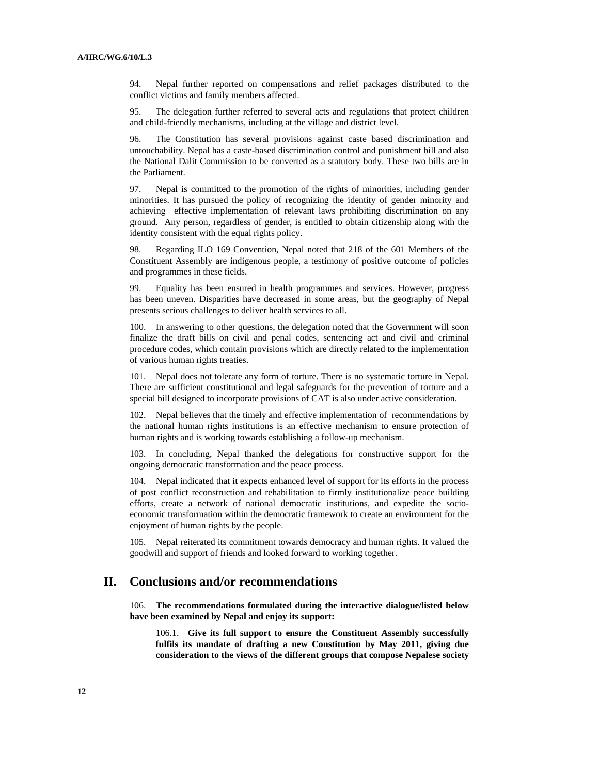94. Nepal further reported on compensations and relief packages distributed to the conflict victims and family members affected.

95. The delegation further referred to several acts and regulations that protect children and child-friendly mechanisms, including at the village and district level.

96. The Constitution has several provisions against caste based discrimination and untouchability. Nepal has a caste-based discrimination control and punishment bill and also the National Dalit Commission to be converted as a statutory body. These two bills are in the Parliament.

97. Nepal is committed to the promotion of the rights of minorities, including gender minorities. It has pursued the policy of recognizing the identity of gender minority and achieving effective implementation of relevant laws prohibiting discrimination on any ground. Any person, regardless of gender, is entitled to obtain citizenship along with the identity consistent with the equal rights policy.

98. Regarding ILO 169 Convention, Nepal noted that 218 of the 601 Members of the Constituent Assembly are indigenous people, a testimony of positive outcome of policies and programmes in these fields.

99. Equality has been ensured in health programmes and services. However, progress has been uneven. Disparities have decreased in some areas, but the geography of Nepal presents serious challenges to deliver health services to all.

100. In answering to other questions, the delegation noted that the Government will soon finalize the draft bills on civil and penal codes, sentencing act and civil and criminal procedure codes, which contain provisions which are directly related to the implementation of various human rights treaties.

101. Nepal does not tolerate any form of torture. There is no systematic torture in Nepal. There are sufficient constitutional and legal safeguards for the prevention of torture and a special bill designed to incorporate provisions of CAT is also under active consideration.

102. Nepal believes that the timely and effective implementation of recommendations by the national human rights institutions is an effective mechanism to ensure protection of human rights and is working towards establishing a follow-up mechanism.

103. In concluding, Nepal thanked the delegations for constructive support for the ongoing democratic transformation and the peace process.

104. Nepal indicated that it expects enhanced level of support for its efforts in the process of post conflict reconstruction and rehabilitation to firmly institutionalize peace building efforts, create a network of national democratic institutions, and expedite the socioeconomic transformation within the democratic framework to create an environment for the enjoyment of human rights by the people.

105. Nepal reiterated its commitment towards democracy and human rights. It valued the goodwill and support of friends and looked forward to working together.

### **II. Conclusions and/or recommendations**

106. **The recommendations formulated during the interactive dialogue/listed below have been examined by Nepal and enjoy its support:** 

106.1. **Give its full support to ensure the Constituent Assembly successfully fulfils its mandate of drafting a new Constitution by May 2011, giving due consideration to the views of the different groups that compose Nepalese society**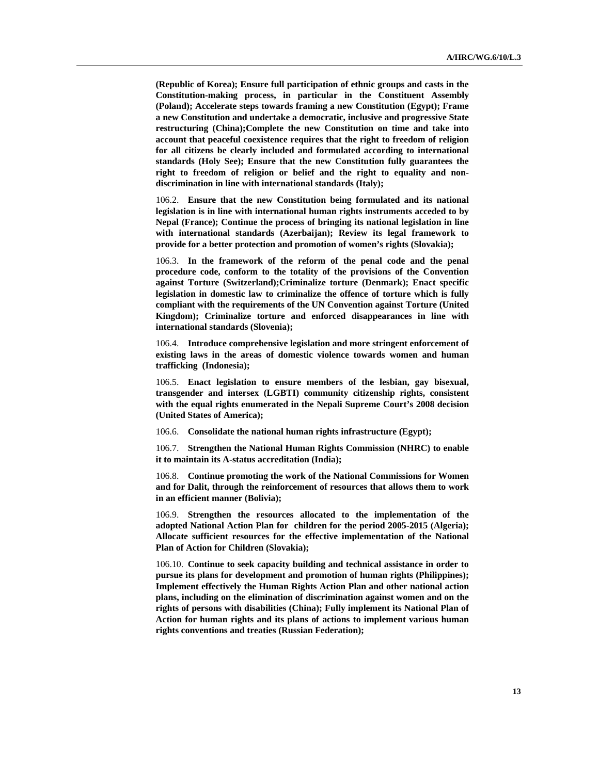**(Republic of Korea); Ensure full participation of ethnic groups and casts in the Constitution-making process, in particular in the Constituent Assembly (Poland); Accelerate steps towards framing a new Constitution (Egypt); Frame a new Constitution and undertake a democratic, inclusive and progressive State restructuring (China);Complete the new Constitution on time and take into account that peaceful coexistence requires that the right to freedom of religion for all citizens be clearly included and formulated according to international standards (Holy See); Ensure that the new Constitution fully guarantees the right to freedom of religion or belief and the right to equality and nondiscrimination in line with international standards (Italy);** 

106.2. **Ensure that the new Constitution being formulated and its national legislation is in line with international human rights instruments acceded to by Nepal (France); Continue the process of bringing its national legislation in line with international standards (Azerbaijan); Review its legal framework to provide for a better protection and promotion of women's rights (Slovakia);** 

106.3. **In the framework of the reform of the penal code and the penal procedure code, conform to the totality of the provisions of the Convention against Torture (Switzerland);Criminalize torture (Denmark); Enact specific legislation in domestic law to criminalize the offence of torture which is fully compliant with the requirements of the UN Convention against Torture (United Kingdom); Criminalize torture and enforced disappearances in line with international standards (Slovenia);** 

106.4. **Introduce comprehensive legislation and more stringent enforcement of existing laws in the areas of domestic violence towards women and human trafficking (Indonesia);** 

106.5. **Enact legislation to ensure members of the lesbian, gay bisexual, transgender and intersex (LGBTI) community citizenship rights, consistent with the equal rights enumerated in the Nepali Supreme Court's 2008 decision (United States of America);** 

106.6. **Consolidate the national human rights infrastructure (Egypt);** 

106.7. **Strengthen the National Human Rights Commission (NHRC) to enable it to maintain its A-status accreditation (India);** 

106.8. **Continue promoting the work of the National Commissions for Women and for Dalit, through the reinforcement of resources that allows them to work in an efficient manner (Bolivia);** 

106.9. **Strengthen the resources allocated to the implementation of the adopted National Action Plan for children for the period 2005-2015 (Algeria); Allocate sufficient resources for the effective implementation of the National Plan of Action for Children (Slovakia);** 

106.10. **Continue to seek capacity building and technical assistance in order to pursue its plans for development and promotion of human rights (Philippines); Implement effectively the Human Rights Action Plan and other national action plans, including on the elimination of discrimination against women and on the rights of persons with disabilities (China); Fully implement its National Plan of Action for human rights and its plans of actions to implement various human rights conventions and treaties (Russian Federation);**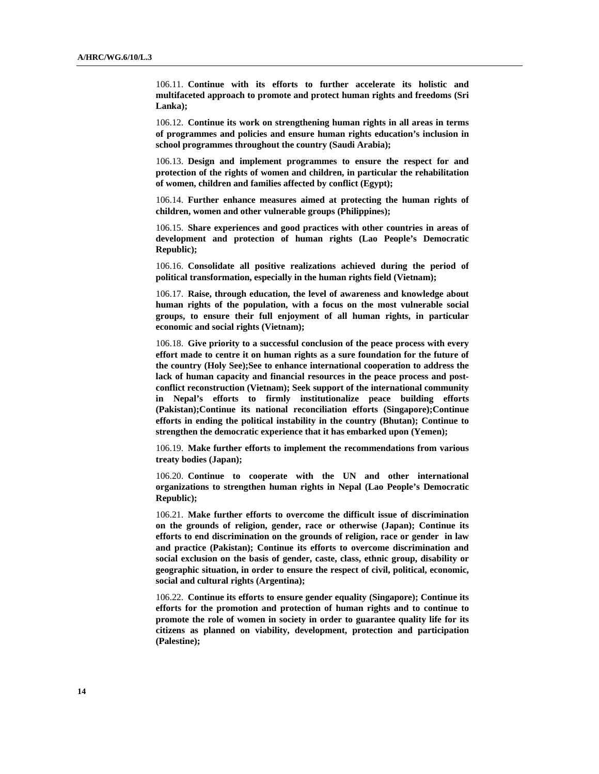106.11. **Continue with its efforts to further accelerate its holistic and multifaceted approach to promote and protect human rights and freedoms (Sri Lanka);** 

106.12. **Continue its work on strengthening human rights in all areas in terms of programmes and policies and ensure human rights education's inclusion in school programmes throughout the country (Saudi Arabia);** 

106.13. **Design and implement programmes to ensure the respect for and protection of the rights of women and children, in particular the rehabilitation of women, children and families affected by conflict (Egypt);** 

106.14. **Further enhance measures aimed at protecting the human rights of children, women and other vulnerable groups (Philippines);** 

106.15. **Share experiences and good practices with other countries in areas of development and protection of human rights (Lao People's Democratic Republic);** 

106.16. **Consolidate all positive realizations achieved during the period of political transformation, especially in the human rights field (Vietnam);** 

106.17. **Raise, through education, the level of awareness and knowledge about human rights of the population, with a focus on the most vulnerable social groups, to ensure their full enjoyment of all human rights, in particular economic and social rights (Vietnam);** 

106.18. **Give priority to a successful conclusion of the peace process with every effort made to centre it on human rights as a sure foundation for the future of the country (Holy See);See to enhance international cooperation to address the lack of human capacity and financial resources in the peace process and postconflict reconstruction (Vietnam); Seek support of the international community in Nepal's efforts to firmly institutionalize peace building efforts (Pakistan);Continue its national reconciliation efforts (Singapore);Continue efforts in ending the political instability in the country (Bhutan); Continue to strengthen the democratic experience that it has embarked upon (Yemen);** 

106.19. **Make further efforts to implement the recommendations from various treaty bodies (Japan);** 

106.20. **Continue to cooperate with the UN and other international organizations to strengthen human rights in Nepal (Lao People's Democratic Republic);** 

106.21. **Make further efforts to overcome the difficult issue of discrimination on the grounds of religion, gender, race or otherwise (Japan); Continue its efforts to end discrimination on the grounds of religion, race or gender in law and practice (Pakistan); Continue its efforts to overcome discrimination and social exclusion on the basis of gender, caste, class, ethnic group, disability or geographic situation, in order to ensure the respect of civil, political, economic, social and cultural rights (Argentina);** 

106.22. **Continue its efforts to ensure gender equality (Singapore); Continue its efforts for the promotion and protection of human rights and to continue to promote the role of women in society in order to guarantee quality life for its citizens as planned on viability, development, protection and participation (Palestine);**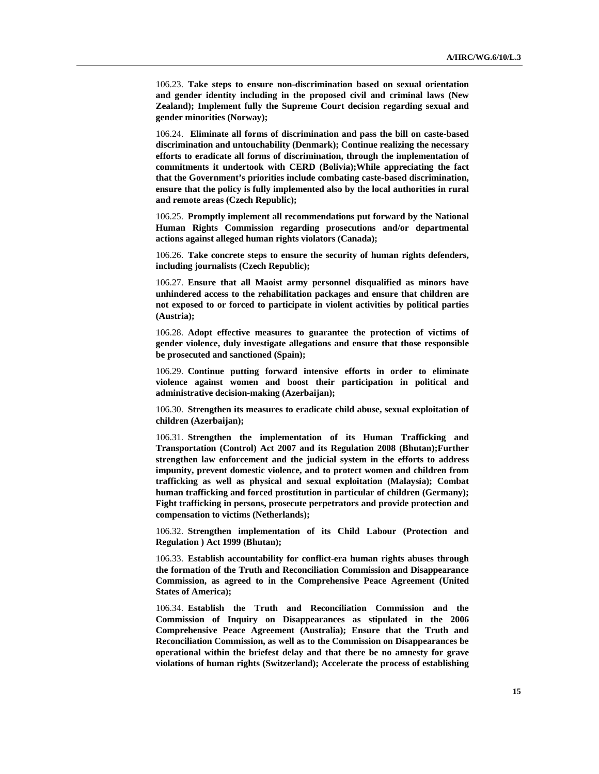106.23. **Take steps to ensure non-discrimination based on sexual orientation and gender identity including in the proposed civil and criminal laws (New Zealand); Implement fully the Supreme Court decision regarding sexual and gender minorities (Norway);** 

106.24. **Eliminate all forms of discrimination and pass the bill on caste-based discrimination and untouchability (Denmark); Continue realizing the necessary efforts to eradicate all forms of discrimination, through the implementation of commitments it undertook with CERD (Bolivia);While appreciating the fact that the Government's priorities include combating caste-based discrimination, ensure that the policy is fully implemented also by the local authorities in rural and remote areas (Czech Republic);** 

106.25. **Promptly implement all recommendations put forward by the National Human Rights Commission regarding prosecutions and/or departmental actions against alleged human rights violators (Canada);** 

106.26. **Take concrete steps to ensure the security of human rights defenders, including journalists (Czech Republic);** 

106.27. **Ensure that all Maoist army personnel disqualified as minors have unhindered access to the rehabilitation packages and ensure that children are not exposed to or forced to participate in violent activities by political parties (Austria);** 

106.28. **Adopt effective measures to guarantee the protection of victims of gender violence, duly investigate allegations and ensure that those responsible be prosecuted and sanctioned (Spain);** 

106.29. **Continue putting forward intensive efforts in order to eliminate violence against women and boost their participation in political and administrative decision-making (Azerbaijan);** 

106.30. **Strengthen its measures to eradicate child abuse, sexual exploitation of children (Azerbaijan);** 

106.31. **Strengthen the implementation of its Human Trafficking and Transportation (Control) Act 2007 and its Regulation 2008 (Bhutan);Further strengthen law enforcement and the judicial system in the efforts to address impunity, prevent domestic violence, and to protect women and children from trafficking as well as physical and sexual exploitation (Malaysia); Combat human trafficking and forced prostitution in particular of children (Germany); Fight trafficking in persons, prosecute perpetrators and provide protection and compensation to victims (Netherlands);** 

106.32. **Strengthen implementation of its Child Labour (Protection and Regulation ) Act 1999 (Bhutan);** 

106.33. **Establish accountability for conflict-era human rights abuses through the formation of the Truth and Reconciliation Commission and Disappearance Commission, as agreed to in the Comprehensive Peace Agreement (United States of America);** 

106.34. **Establish the Truth and Reconciliation Commission and the Commission of Inquiry on Disappearances as stipulated in the 2006 Comprehensive Peace Agreement (Australia); Ensure that the Truth and Reconciliation Commission, as well as to the Commission on Disappearances be operational within the briefest delay and that there be no amnesty for grave violations of human rights (Switzerland); Accelerate the process of establishing**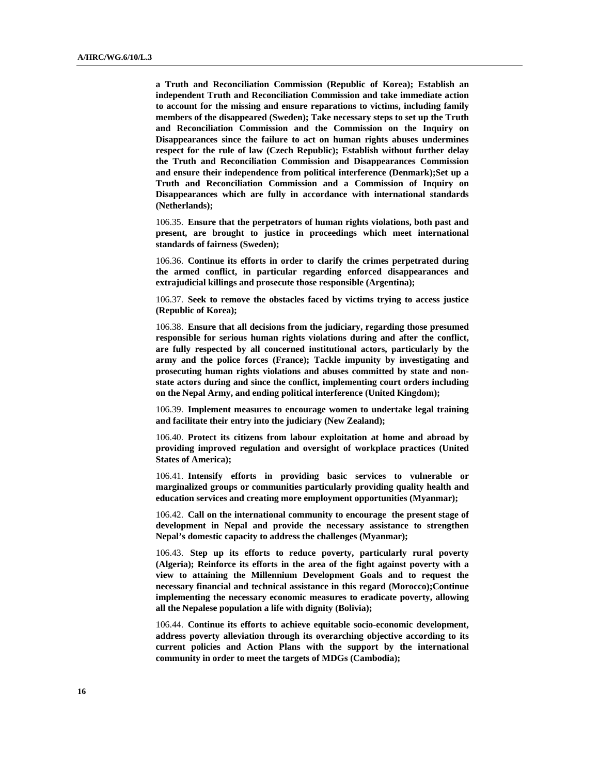**a Truth and Reconciliation Commission (Republic of Korea); Establish an independent Truth and Reconciliation Commission and take immediate action to account for the missing and ensure reparations to victims, including family members of the disappeared (Sweden); Take necessary steps to set up the Truth and Reconciliation Commission and the Commission on the Inquiry on Disappearances since the failure to act on human rights abuses undermines respect for the rule of law (Czech Republic); Establish without further delay the Truth and Reconciliation Commission and Disappearances Commission and ensure their independence from political interference (Denmark);Set up a Truth and Reconciliation Commission and a Commission of Inquiry on Disappearances which are fully in accordance with international standards (Netherlands);** 

106.35. **Ensure that the perpetrators of human rights violations, both past and present, are brought to justice in proceedings which meet international standards of fairness (Sweden);** 

106.36. **Continue its efforts in order to clarify the crimes perpetrated during the armed conflict, in particular regarding enforced disappearances and extrajudicial killings and prosecute those responsible (Argentina);** 

106.37. **Seek to remove the obstacles faced by victims trying to access justice (Republic of Korea);** 

106.38. **Ensure that all decisions from the judiciary, regarding those presumed responsible for serious human rights violations during and after the conflict, are fully respected by all concerned institutional actors, particularly by the army and the police forces (France); Tackle impunity by investigating and prosecuting human rights violations and abuses committed by state and nonstate actors during and since the conflict, implementing court orders including on the Nepal Army, and ending political interference (United Kingdom);** 

106.39. **Implement measures to encourage women to undertake legal training and facilitate their entry into the judiciary (New Zealand);** 

106.40. **Protect its citizens from labour exploitation at home and abroad by providing improved regulation and oversight of workplace practices (United States of America);** 

106.41. **Intensify efforts in providing basic services to vulnerable or marginalized groups or communities particularly providing quality health and education services and creating more employment opportunities (Myanmar);** 

106.42. **Call on the international community to encourage the present stage of development in Nepal and provide the necessary assistance to strengthen Nepal's domestic capacity to address the challenges (Myanmar);** 

106.43. **Step up its efforts to reduce poverty, particularly rural poverty (Algeria); Reinforce its efforts in the area of the fight against poverty with a view to attaining the Millennium Development Goals and to request the necessary financial and technical assistance in this regard (Morocco);Continue implementing the necessary economic measures to eradicate poverty, allowing all the Nepalese population a life with dignity (Bolivia);** 

106.44. **Continue its efforts to achieve equitable socio-economic development, address poverty alleviation through its overarching objective according to its current policies and Action Plans with the support by the international community in order to meet the targets of MDGs (Cambodia);**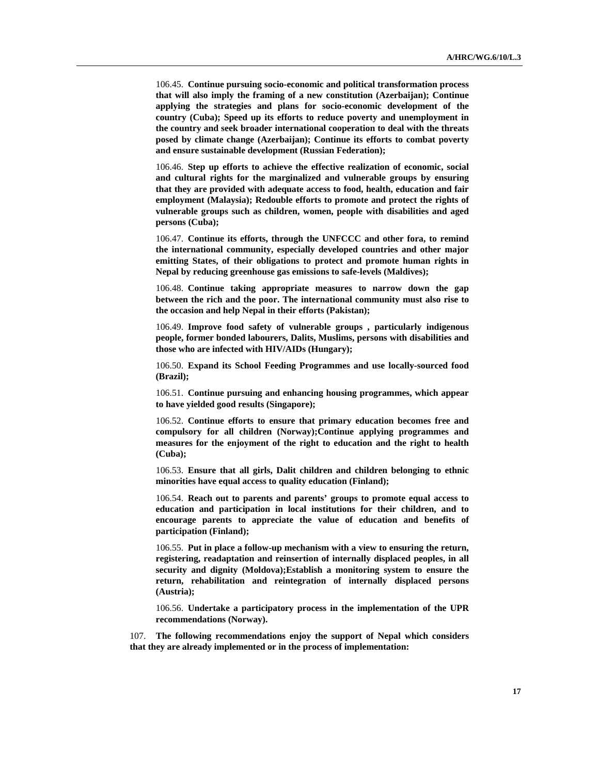106.45. **Continue pursuing socio-economic and political transformation process that will also imply the framing of a new constitution (Azerbaijan); Continue applying the strategies and plans for socio-economic development of the country (Cuba); Speed up its efforts to reduce poverty and unemployment in the country and seek broader international cooperation to deal with the threats posed by climate change (Azerbaijan); Continue its efforts to combat poverty and ensure sustainable development (Russian Federation);** 

106.46. **Step up efforts to achieve the effective realization of economic, social and cultural rights for the marginalized and vulnerable groups by ensuring that they are provided with adequate access to food, health, education and fair employment (Malaysia); Redouble efforts to promote and protect the rights of vulnerable groups such as children, women, people with disabilities and aged persons (Cuba);** 

106.47. **Continue its efforts, through the UNFCCC and other fora, to remind the international community, especially developed countries and other major emitting States, of their obligations to protect and promote human rights in Nepal by reducing greenhouse gas emissions to safe-levels (Maldives);** 

106.48. **Continue taking appropriate measures to narrow down the gap between the rich and the poor. The international community must also rise to the occasion and help Nepal in their efforts (Pakistan);** 

106.49. **Improve food safety of vulnerable groups , particularly indigenous people, former bonded labourers, Dalits, Muslims, persons with disabilities and those who are infected with HIV/AIDs (Hungary);** 

106.50. **Expand its School Feeding Programmes and use locally-sourced food (Brazil);** 

106.51. **Continue pursuing and enhancing housing programmes, which appear to have yielded good results (Singapore);** 

106.52. **Continue efforts to ensure that primary education becomes free and compulsory for all children (Norway);Continue applying programmes and measures for the enjoyment of the right to education and the right to health (Cuba);** 

106.53. **Ensure that all girls, Dalit children and children belonging to ethnic minorities have equal access to quality education (Finland);** 

106.54. **Reach out to parents and parents' groups to promote equal access to education and participation in local institutions for their children, and to encourage parents to appreciate the value of education and benefits of participation (Finland);** 

106.55. **Put in place a follow-up mechanism with a view to ensuring the return, registering, readaptation and reinsertion of internally displaced peoples, in all security and dignity (Moldova);Establish a monitoring system to ensure the return, rehabilitation and reintegration of internally displaced persons (Austria);** 

106.56. **Undertake a participatory process in the implementation of the UPR recommendations (Norway).** 

107. **The following recommendations enjoy the support of Nepal which considers that they are already implemented or in the process of implementation:**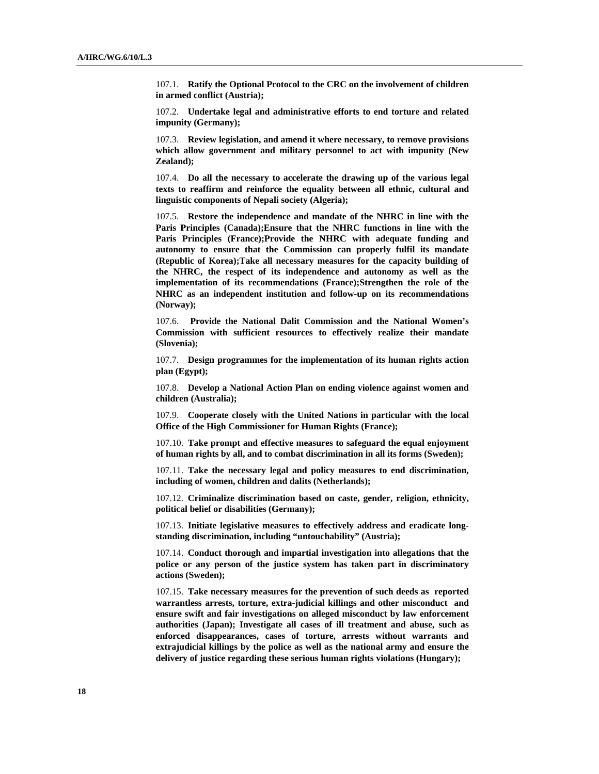107.1. **Ratify the Optional Protocol to the CRC on the involvement of children in armed conflict (Austria);** 

107.2. **Undertake legal and administrative efforts to end torture and related impunity (Germany);** 

107.3. **Review legislation, and amend it where necessary, to remove provisions which allow government and military personnel to act with impunity (New Zealand);** 

107.4. **Do all the necessary to accelerate the drawing up of the various legal texts to reaffirm and reinforce the equality between all ethnic, cultural and linguistic components of Nepali society (Algeria);** 

107.5. **Restore the independence and mandate of the NHRC in line with the Paris Principles (Canada);Ensure that the NHRC functions in line with the Paris Principles (France);Provide the NHRC with adequate funding and autonomy to ensure that the Commission can properly fulfil its mandate (Republic of Korea);Take all necessary measures for the capacity building of the NHRC, the respect of its independence and autonomy as well as the implementation of its recommendations (France);Strengthen the role of the NHRC as an independent institution and follow-up on its recommendations (Norway);** 

107.6. **Provide the National Dalit Commission and the National Women's Commission with sufficient resources to effectively realize their mandate (Slovenia);** 

107.7. **Design programmes for the implementation of its human rights action plan (Egypt);** 

107.8. **Develop a National Action Plan on ending violence against women and children (Australia);** 

107.9. **Cooperate closely with the United Nations in particular with the local Office of the High Commissioner for Human Rights (France);** 

107.10. **Take prompt and effective measures to safeguard the equal enjoyment of human rights by all, and to combat discrimination in all its forms (Sweden);** 

107.11. **Take the necessary legal and policy measures to end discrimination, including of women, children and dalits (Netherlands);** 

107.12. **Criminalize discrimination based on caste, gender, religion, ethnicity, political belief or disabilities (Germany);** 

107.13. **Initiate legislative measures to effectively address and eradicate longstanding discrimination, including "untouchability" (Austria);** 

107.14. **Conduct thorough and impartial investigation into allegations that the police or any person of the justice system has taken part in discriminatory actions (Sweden);** 

107.15. **Take necessary measures for the prevention of such deeds as reported warrantless arrests, torture, extra-judicial killings and other misconduct and ensure swift and fair investigations on alleged misconduct by law enforcement authorities (Japan); Investigate all cases of ill treatment and abuse, such as enforced disappearances, cases of torture, arrests without warrants and extrajudicial killings by the police as well as the national army and ensure the delivery of justice regarding these serious human rights violations (Hungary);**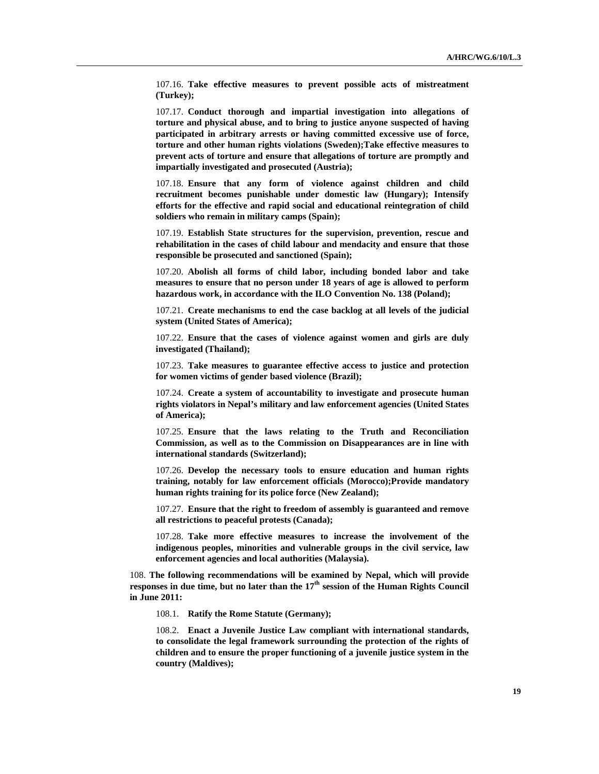107.16. **Take effective measures to prevent possible acts of mistreatment (Turkey);** 

107.17. **Conduct thorough and impartial investigation into allegations of torture and physical abuse, and to bring to justice anyone suspected of having participated in arbitrary arrests or having committed excessive use of force, torture and other human rights violations (Sweden);Take effective measures to prevent acts of torture and ensure that allegations of torture are promptly and impartially investigated and prosecuted (Austria);** 

107.18. **Ensure that any form of violence against children and child recruitment becomes punishable under domestic law (Hungary); Intensify efforts for the effective and rapid social and educational reintegration of child soldiers who remain in military camps (Spain);** 

107.19. **Establish State structures for the supervision, prevention, rescue and rehabilitation in the cases of child labour and mendacity and ensure that those responsible be prosecuted and sanctioned (Spain);** 

107.20. **Abolish all forms of child labor, including bonded labor and take measures to ensure that no person under 18 years of age is allowed to perform hazardous work, in accordance with the ILO Convention No. 138 (Poland);** 

107.21. **Create mechanisms to end the case backlog at all levels of the judicial system (United States of America);** 

107.22. **Ensure that the cases of violence against women and girls are duly investigated (Thailand);** 

107.23. **Take measures to guarantee effective access to justice and protection for women victims of gender based violence (Brazil);** 

107.24. **Create a system of accountability to investigate and prosecute human rights violators in Nepal's military and law enforcement agencies (United States of America);** 

107.25. **Ensure that the laws relating to the Truth and Reconciliation Commission, as well as to the Commission on Disappearances are in line with international standards (Switzerland);** 

107.26. **Develop the necessary tools to ensure education and human rights training, notably for law enforcement officials (Morocco);Provide mandatory human rights training for its police force (New Zealand);** 

107.27. **Ensure that the right to freedom of assembly is guaranteed and remove all restrictions to peaceful protests (Canada);** 

107.28. **Take more effective measures to increase the involvement of the indigenous peoples, minorities and vulnerable groups in the civil service, law enforcement agencies and local authorities (Malaysia).** 

108. **The following recommendations will be examined by Nepal, which will provide responses in due time, but no later than the 17th session of the Human Rights Council in June 2011:** 

108.1. **Ratify the Rome Statute (Germany);** 

108.2. **Enact a Juvenile Justice Law compliant with international standards, to consolidate the legal framework surrounding the protection of the rights of children and to ensure the proper functioning of a juvenile justice system in the country (Maldives);**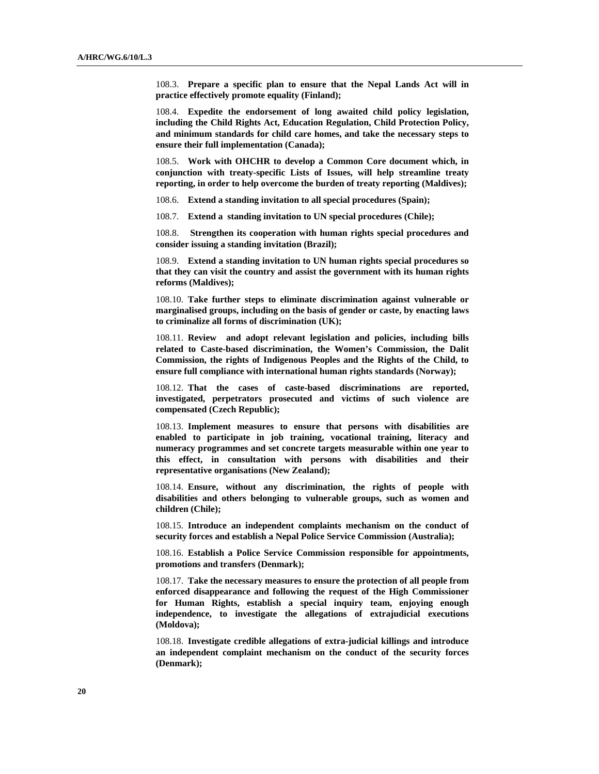108.3. **Prepare a specific plan to ensure that the Nepal Lands Act will in practice effectively promote equality (Finland);** 

108.4. **Expedite the endorsement of long awaited child policy legislation, including the Child Rights Act, Education Regulation, Child Protection Policy, and minimum standards for child care homes, and take the necessary steps to ensure their full implementation (Canada);** 

108.5. **Work with OHCHR to develop a Common Core document which, in conjunction with treaty-specific Lists of Issues, will help streamline treaty reporting, in order to help overcome the burden of treaty reporting (Maldives);** 

108.6. **Extend a standing invitation to all special procedures (Spain);** 

108.7. **Extend a standing invitation to UN special procedures (Chile);** 

108.8. **Strengthen its cooperation with human rights special procedures and consider issuing a standing invitation (Brazil);** 

108.9. **Extend a standing invitation to UN human rights special procedures so that they can visit the country and assist the government with its human rights reforms (Maldives);** 

108.10. **Take further steps to eliminate discrimination against vulnerable or marginalised groups, including on the basis of gender or caste, by enacting laws to criminalize all forms of discrimination (UK);** 

108.11. **Review and adopt relevant legislation and policies, including bills related to Caste-based discrimination, the Women's Commission, the Dalit Commission, the rights of Indigenous Peoples and the Rights of the Child, to ensure full compliance with international human rights standards (Norway);** 

108.12. **That the cases of caste-based discriminations are reported, investigated, perpetrators prosecuted and victims of such violence are compensated (Czech Republic);** 

108.13. **Implement measures to ensure that persons with disabilities are enabled to participate in job training, vocational training, literacy and numeracy programmes and set concrete targets measurable within one year to this effect, in consultation with persons with disabilities and their representative organisations (New Zealand);** 

108.14. **Ensure, without any discrimination, the rights of people with disabilities and others belonging to vulnerable groups, such as women and children (Chile);** 

108.15. **Introduce an independent complaints mechanism on the conduct of security forces and establish a Nepal Police Service Commission (Australia);** 

108.16. **Establish a Police Service Commission responsible for appointments, promotions and transfers (Denmark);** 

108.17. **Take the necessary measures to ensure the protection of all people from enforced disappearance and following the request of the High Commissioner for Human Rights, establish a special inquiry team, enjoying enough independence, to investigate the allegations of extrajudicial executions (Moldova);** 

108.18. **Investigate credible allegations of extra-judicial killings and introduce an independent complaint mechanism on the conduct of the security forces (Denmark);**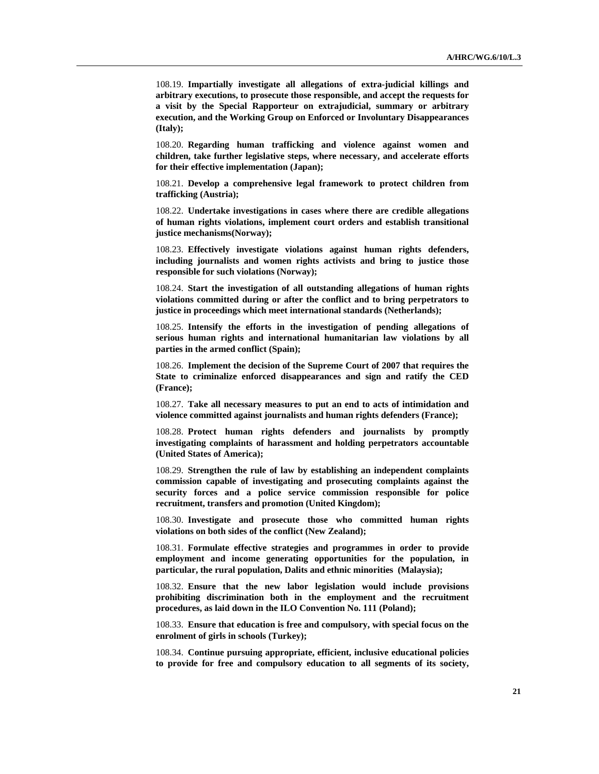108.19. **Impartially investigate all allegations of extra-judicial killings and arbitrary executions, to prosecute those responsible, and accept the requests for a visit by the Special Rapporteur on extrajudicial, summary or arbitrary execution, and the Working Group on Enforced or Involuntary Disappearances (Italy);** 

108.20. **Regarding human trafficking and violence against women and children, take further legislative steps, where necessary, and accelerate efforts for their effective implementation (Japan);** 

108.21. **Develop a comprehensive legal framework to protect children from trafficking (Austria);** 

108.22. **Undertake investigations in cases where there are credible allegations of human rights violations, implement court orders and establish transitional justice mechanisms(Norway);** 

108.23. **Effectively investigate violations against human rights defenders, including journalists and women rights activists and bring to justice those responsible for such violations (Norway);** 

108.24. **Start the investigation of all outstanding allegations of human rights violations committed during or after the conflict and to bring perpetrators to justice in proceedings which meet international standards (Netherlands);** 

108.25. **Intensify the efforts in the investigation of pending allegations of serious human rights and international humanitarian law violations by all parties in the armed conflict (Spain);** 

108.26. **Implement the decision of the Supreme Court of 2007 that requires the State to criminalize enforced disappearances and sign and ratify the CED (France);** 

108.27. **Take all necessary measures to put an end to acts of intimidation and violence committed against journalists and human rights defenders (France);** 

108.28. **Protect human rights defenders and journalists by promptly investigating complaints of harassment and holding perpetrators accountable (United States of America);** 

108.29. **Strengthen the rule of law by establishing an independent complaints commission capable of investigating and prosecuting complaints against the security forces and a police service commission responsible for police recruitment, transfers and promotion (United Kingdom);** 

108.30. **Investigate and prosecute those who committed human rights violations on both sides of the conflict (New Zealand);** 

108.31. **Formulate effective strategies and programmes in order to provide employment and income generating opportunities for the population, in particular, the rural population, Dalits and ethnic minorities (Malaysia);** 

108.32. **Ensure that the new labor legislation would include provisions prohibiting discrimination both in the employment and the recruitment procedures, as laid down in the ILO Convention No. 111 (Poland);** 

108.33. **Ensure that education is free and compulsory, with special focus on the enrolment of girls in schools (Turkey);** 

108.34. **Continue pursuing appropriate, efficient, inclusive educational policies to provide for free and compulsory education to all segments of its society,**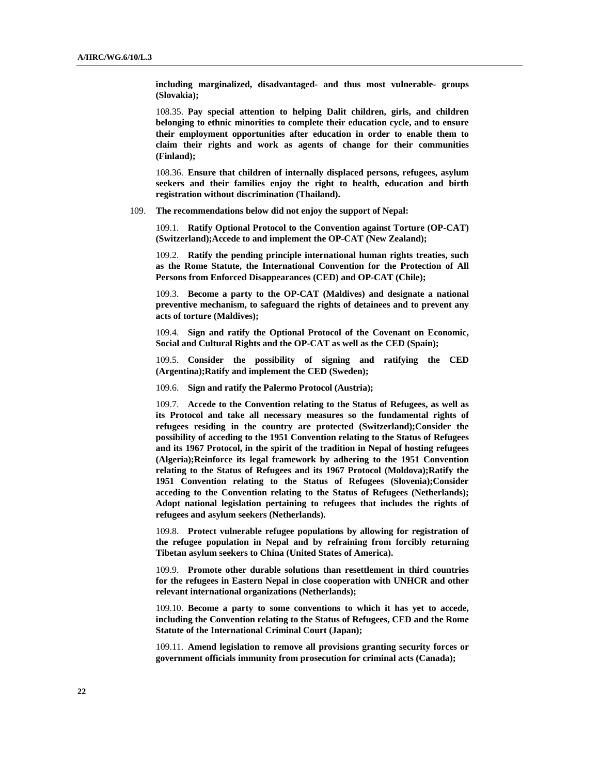**including marginalized, disadvantaged- and thus most vulnerable- groups (Slovakia);** 

108.35. **Pay special attention to helping Dalit children, girls, and children belonging to ethnic minorities to complete their education cycle, and to ensure their employment opportunities after education in order to enable them to claim their rights and work as agents of change for their communities (Finland);** 

108.36. **Ensure that children of internally displaced persons, refugees, asylum seekers and their families enjoy the right to health, education and birth registration without discrimination (Thailand).** 

109. **The recommendations below did not enjoy the support of Nepal:** 

109.1. **Ratify Optional Protocol to the Convention against Torture (OP-CAT) (Switzerland);Accede to and implement the OP-CAT (New Zealand);** 

109.2. **Ratify the pending principle international human rights treaties, such as the Rome Statute, the International Convention for the Protection of All Persons from Enforced Disappearances (CED) and OP-CAT (Chile);** 

109.3. **Become a party to the OP-CAT (Maldives) and designate a national preventive mechanism, to safeguard the rights of detainees and to prevent any acts of torture (Maldives);** 

109.4. **Sign and ratify the Optional Protocol of the Covenant on Economic, Social and Cultural Rights and the OP-CAT as well as the CED (Spain);** 

109.5. **Consider the possibility of signing and ratifying the CED (Argentina);Ratify and implement the CED (Sweden);** 

109.6. **Sign and ratify the Palermo Protocol (Austria);** 

109.7. **Accede to the Convention relating to the Status of Refugees, as well as its Protocol and take all necessary measures so the fundamental rights of refugees residing in the country are protected (Switzerland);Consider the possibility of acceding to the 1951 Convention relating to the Status of Refugees and its 1967 Protocol, in the spirit of the tradition in Nepal of hosting refugees (Algeria);Reinforce its legal framework by adhering to the 1951 Convention relating to the Status of Refugees and its 1967 Protocol (Moldova);Ratify the 1951 Convention relating to the Status of Refugees (Slovenia);Consider acceding to the Convention relating to the Status of Refugees (Netherlands); Adopt national legislation pertaining to refugees that includes the rights of refugees and asylum seekers (Netherlands).** 

109.8. **Protect vulnerable refugee populations by allowing for registration of the refugee population in Nepal and by refraining from forcibly returning Tibetan asylum seekers to China (United States of America).** 

109.9. **Promote other durable solutions than resettlement in third countries for the refugees in Eastern Nepal in close cooperation with UNHCR and other relevant international organizations (Netherlands);** 

109.10. **Become a party to some conventions to which it has yet to accede, including the Convention relating to the Status of Refugees, CED and the Rome Statute of the International Criminal Court (Japan);** 

109.11. **Amend legislation to remove all provisions granting security forces or government officials immunity from prosecution for criminal acts (Canada);**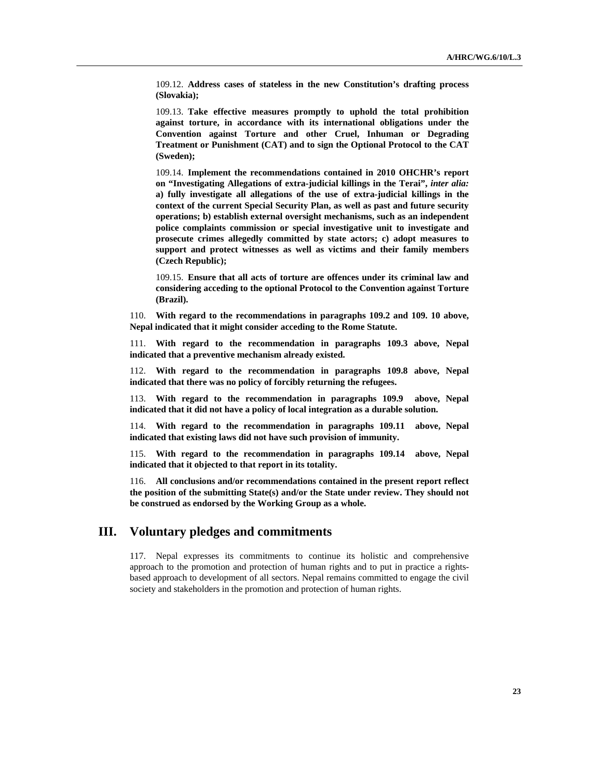109.12. **Address cases of stateless in the new Constitution's drafting process (Slovakia);** 

109.13. **Take effective measures promptly to uphold the total prohibition against torture, in accordance with its international obligations under the Convention against Torture and other Cruel, Inhuman or Degrading Treatment or Punishment (CAT) and to sign the Optional Protocol to the CAT (Sweden);** 

109.14. **Implement the recommendations contained in 2010 OHCHR's report on "Investigating Allegations of extra-judicial killings in the Terai",** *inter alia:* **a) fully investigate all allegations of the use of extra-judicial killings in the context of the current Special Security Plan, as well as past and future security operations; b) establish external oversight mechanisms, such as an independent police complaints commission or special investigative unit to investigate and prosecute crimes allegedly committed by state actors; c) adopt measures to support and protect witnesses as well as victims and their family members (Czech Republic);** 

109.15. **Ensure that all acts of torture are offences under its criminal law and considering acceding to the optional Protocol to the Convention against Torture (Brazil).** 

110. **With regard to the recommendations in paragraphs 109.2 and 109. 10 above, Nepal indicated that it might consider acceding to the Rome Statute.** 

111. **With regard to the recommendation in paragraphs 109.3 above, Nepal indicated that a preventive mechanism already existed.** 

112. **With regard to the recommendation in paragraphs 109.8 above, Nepal indicated that there was no policy of forcibly returning the refugees.** 

113. **With regard to the recommendation in paragraphs 109.9 above, Nepal indicated that it did not have a policy of local integration as a durable solution.** 

114. **With regard to the recommendation in paragraphs 109.11 above, Nepal indicated that existing laws did not have such provision of immunity.** 

115. **With regard to the recommendation in paragraphs 109.14 above, Nepal indicated that it objected to that report in its totality.** 

116. **All conclusions and/or recommendations contained in the present report reflect the position of the submitting State(s) and/or the State under review. They should not be construed as endorsed by the Working Group as a whole.** 

## **III. Voluntary pledges and commitments**

117. Nepal expresses its commitments to continue its holistic and comprehensive approach to the promotion and protection of human rights and to put in practice a rightsbased approach to development of all sectors. Nepal remains committed to engage the civil society and stakeholders in the promotion and protection of human rights.